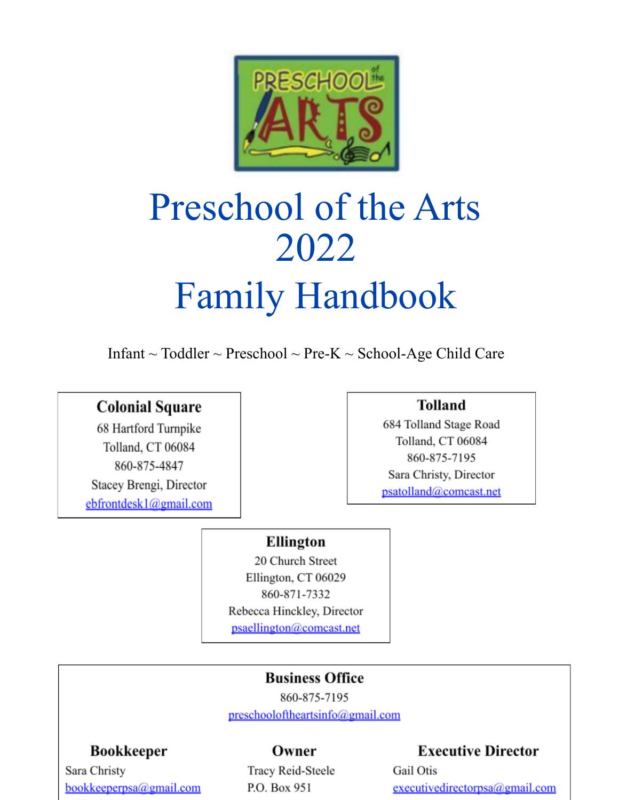

# Preschool of the Arts 2022 Family Handbook

Infant  $\sim$  Toddler  $\sim$  Preschool  $\sim$  Pre-K  $\sim$  School-Age Child Care

## **Colonial Square**

68 Hartford Turnpike Tolland, CT 06084 860-875-4847 Stacey Brengi, Director ebfrontdesk1@gmail.com

## **Tolland**

684 Tolland Stage Road Tolland, CT 06084 860-875-7195 Sara Christy, Director psatolland@comcast.net

## Ellington

20 Church Street Ellington, CT 06029 860-871-7332 Rebecca Hinckley, Director psaellington@comcast.net

# **Business Office**

860-875-7195 preschooloftheartsinfo@gmail.com

## **Bookkeeper**

Sara Christy bookkeeperpsa@gmail.com

## Owner

Tracy Reid-Steele P.O. Box 951

## **Executive Director**

Gail Otis executivedirectorpsa@gmail.com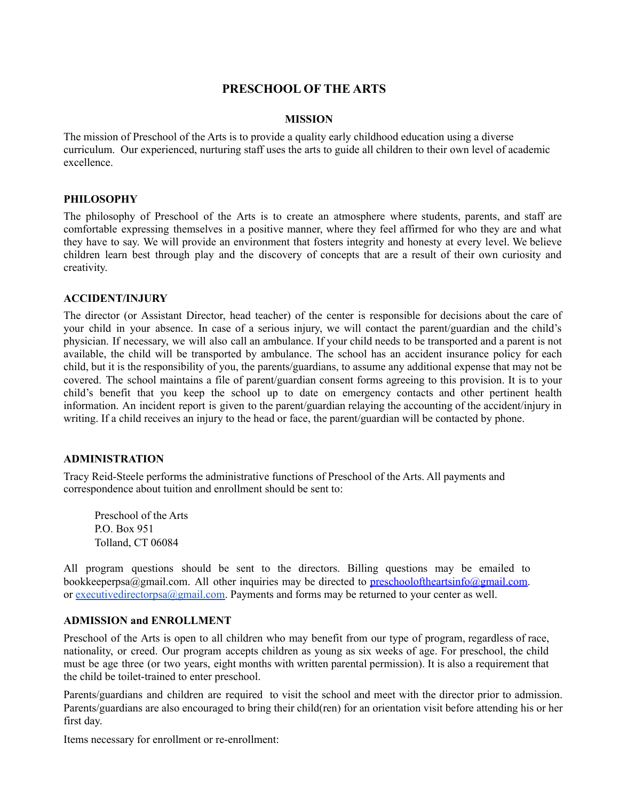#### **PRESCHOOL OF THE ARTS**

#### **MISSION**

The mission of Preschool of the Arts is to provide a quality early childhood education using a diverse curriculum. Our experienced, nurturing staff uses the arts to guide all children to their own level of academic excellence.

#### **PHILOSOPHY**

The philosophy of Preschool of the Arts is to create an atmosphere where students, parents, and staff are comfortable expressing themselves in a positive manner, where they feel affirmed for who they are and what they have to say. We will provide an environment that fosters integrity and honesty at every level. We believe children learn best through play and the discovery of concepts that are a result of their own curiosity and creativity.

#### **ACCIDENT/INJURY**

The director (or Assistant Director, head teacher) of the center is responsible for decisions about the care of your child in your absence. In case of a serious injury, we will contact the parent/guardian and the child's physician. If necessary, we will also call an ambulance. If your child needs to be transported and a parent is not available, the child will be transported by ambulance. The school has an accident insurance policy for each child, but it is the responsibility of you, the parents/guardians, to assume any additional expense that may not be covered. The school maintains a file of parent/guardian consent forms agreeing to this provision. It is to your child's benefit that you keep the school up to date on emergency contacts and other pertinent health information. An incident report is given to the parent/guardian relaying the accounting of the accident/injury in writing. If a child receives an injury to the head or face, the parent/guardian will be contacted by phone.

#### **ADMINISTRATION**

Tracy Reid-Steele performs the administrative functions of Preschool of the Arts. All payments and correspondence about tuition and enrollment should be sent to:

Preschool of the Arts P.O. Box 951 Tolland, CT 06084

All program questions should be sent to the directors. Billing questions may be emailed to bookkeeperpsa@gmail.com. All other inquiries may be directed to preschooloftheartsinfo@gmail.com. or [executivedirectorpsa@gmail.com.](mailto:executivedirectorpsa@gmail.com) Payments and forms may be returned to your center as well.

#### **ADMISSION and ENROLLMENT**

Preschool of the Arts is open to all children who may benefit from our type of program, regardless of race, nationality, or creed. Our program accepts children as young as six weeks of age. For preschool, the child must be age three (or two years, eight months with written parental permission). It is also a requirement that the child be toilet-trained to enter preschool.

Parents/guardians and children are required to visit the school and meet with the director prior to admission. Parents/guardians are also encouraged to bring their child(ren) for an orientation visit before attending his or her first day.

Items necessary for enrollment or re-enrollment: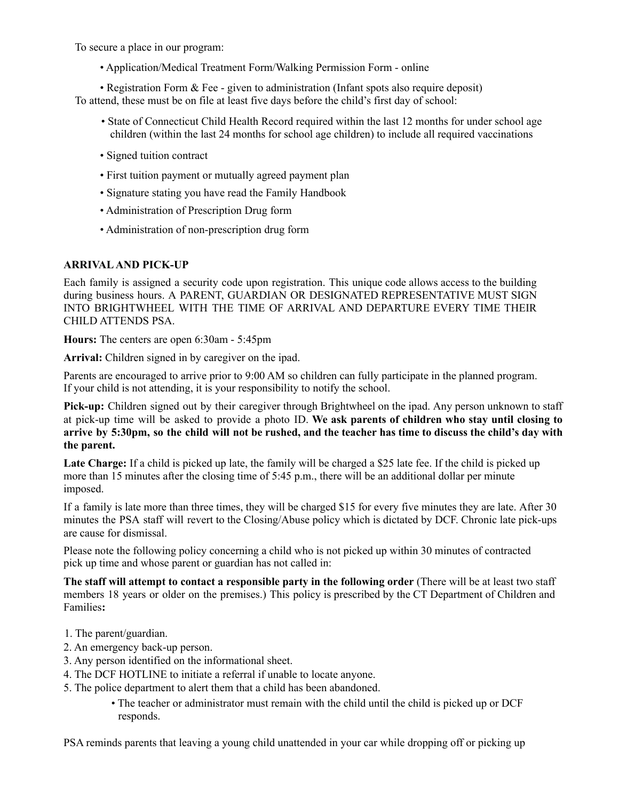To secure a place in our program:

• Application/Medical Treatment Form/Walking Permission Form - online

• Registration Form & Fee - given to administration (Infant spots also require deposit)

To attend, these must be on file at least five days before the child's first day of school:

- State of Connecticut Child Health Record required within the last 12 months for under school age children (within the last 24 months for school age children) to include all required vaccinations
- Signed tuition contract
- First tuition payment or mutually agreed payment plan
- Signature stating you have read the Family Handbook
- Administration of Prescription Drug form
- Administration of non-prescription drug form

#### **ARRIVALAND PICK-UP**

Each family is assigned a security code upon registration. This unique code allows access to the building during business hours. A PARENT, GUARDIAN OR DESIGNATED REPRESENTATIVE MUST SIGN INTO BRIGHTWHEEL WITH THE TIME OF ARRIVAL AND DEPARTURE EVERY TIME THEIR CHILD ATTENDS PSA.

**Hours:** The centers are open 6:30am - 5:45pm

**Arrival:** Children signed in by caregiver on the ipad.

Parents are encouraged to arrive prior to 9:00 AM so children can fully participate in the planned program. If your child is not attending, it is your responsibility to notify the school.

**Pick-up:** Children signed out by their caregiver through Brightwheel on the ipad. Any person unknown to staff at pick-up time will be asked to provide a photo ID. **We ask parents of children who stay until closing to** arrive by 5:30pm, so the child will not be rushed, and the teacher has time to discuss the child's day with **the parent.**

**Late Charge:** If a child is picked up late, the family will be charged a \$25 late fee. If the child is picked up more than 15 minutes after the closing time of 5:45 p.m., there will be an additional dollar per minute imposed.

If a family is late more than three times, they will be charged \$15 for every five minutes they are late. After 30 minutes the PSA staff will revert to the Closing/Abuse policy which is dictated by DCF. Chronic late pick-ups are cause for dismissal.

Please note the following policy concerning a child who is not picked up within 30 minutes of contracted pick up time and whose parent or guardian has not called in:

**The staff will attempt to contact a responsible party in the following order** (There will be at least two staff members 18 years or older on the premises.) This policy is prescribed by the CT Department of Children and Families**:**

- 1. The parent/guardian.
- 2. An emergency back-up person.
- 3. Any person identified on the informational sheet.
- 4. The DCF HOTLINE to initiate a referral if unable to locate anyone.
- 5. The police department to alert them that a child has been abandoned.
	- The teacher or administrator must remain with the child until the child is picked up or DCF responds.

PSA reminds parents that leaving a young child unattended in your car while dropping off or picking up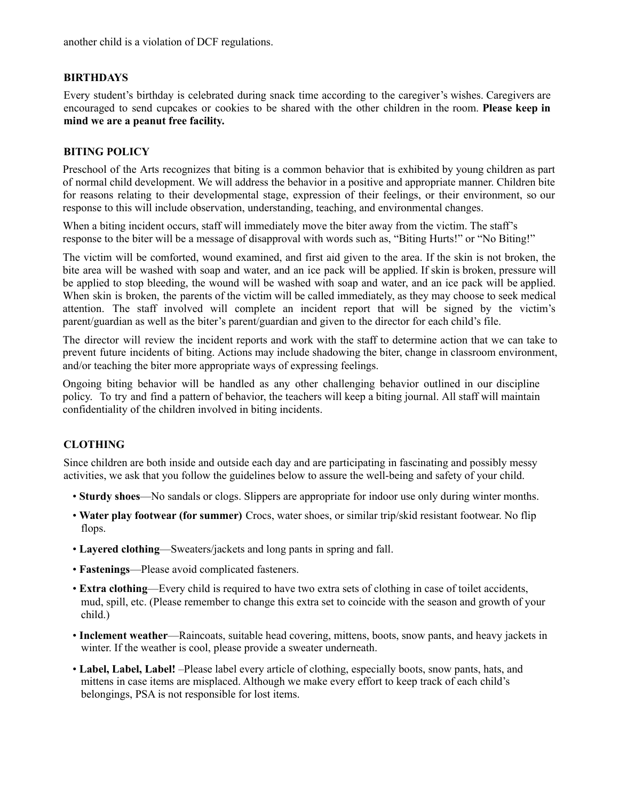another child is a violation of DCF regulations.

#### **BIRTHDAYS**

Every student's birthday is celebrated during snack time according to the caregiver's wishes. Caregivers are encouraged to send cupcakes or cookies to be shared with the other children in the room. **Please keep in mind we are a peanut free facility.**

#### **BITING POLICY**

Preschool of the Arts recognizes that biting is a common behavior that is exhibited by young children as part of normal child development. We will address the behavior in a positive and appropriate manner. Children bite for reasons relating to their developmental stage, expression of their feelings, or their environment, so our response to this will include observation, understanding, teaching, and environmental changes.

When a biting incident occurs, staff will immediately move the biter away from the victim. The staff's response to the biter will be a message of disapproval with words such as, "Biting Hurts!" or "No Biting!"

The victim will be comforted, wound examined, and first aid given to the area. If the skin is not broken, the bite area will be washed with soap and water, and an ice pack will be applied. If skin is broken, pressure will be applied to stop bleeding, the wound will be washed with soap and water, and an ice pack will be applied. When skin is broken, the parents of the victim will be called immediately, as they may choose to seek medical attention. The staff involved will complete an incident report that will be signed by the victim's parent/guardian as well as the biter's parent/guardian and given to the director for each child's file.

The director will review the incident reports and work with the staff to determine action that we can take to prevent future incidents of biting. Actions may include shadowing the biter, change in classroom environment, and/or teaching the biter more appropriate ways of expressing feelings.

Ongoing biting behavior will be handled as any other challenging behavior outlined in our discipline policy. To try and find a pattern of behavior, the teachers will keep a biting journal. All staff will maintain confidentiality of the children involved in biting incidents.

#### **CLOTHING**

Since children are both inside and outside each day and are participating in fascinating and possibly messy activities, we ask that you follow the guidelines below to assure the well-being and safety of your child.

- **Sturdy shoes**—No sandals or clogs. Slippers are appropriate for indoor use only during winter months.
- **Water play footwear (for summer)** Crocs, water shoes, or similar trip/skid resistant footwear. No flip flops.
- **Layered clothing**—Sweaters/jackets and long pants in spring and fall.
- **Fastenings**—Please avoid complicated fasteners.
- **Extra clothing**—Every child is required to have two extra sets of clothing in case of toilet accidents, mud, spill, etc. (Please remember to change this extra set to coincide with the season and growth of your child.)
- **Inclement weather**—Raincoats, suitable head covering, mittens, boots, snow pants, and heavy jackets in winter. If the weather is cool, please provide a sweater underneath.
- **Label, Label, Label!** –Please label every article of clothing, especially boots, snow pants, hats, and mittens in case items are misplaced. Although we make every effort to keep track of each child's belongings, PSA is not responsible for lost items.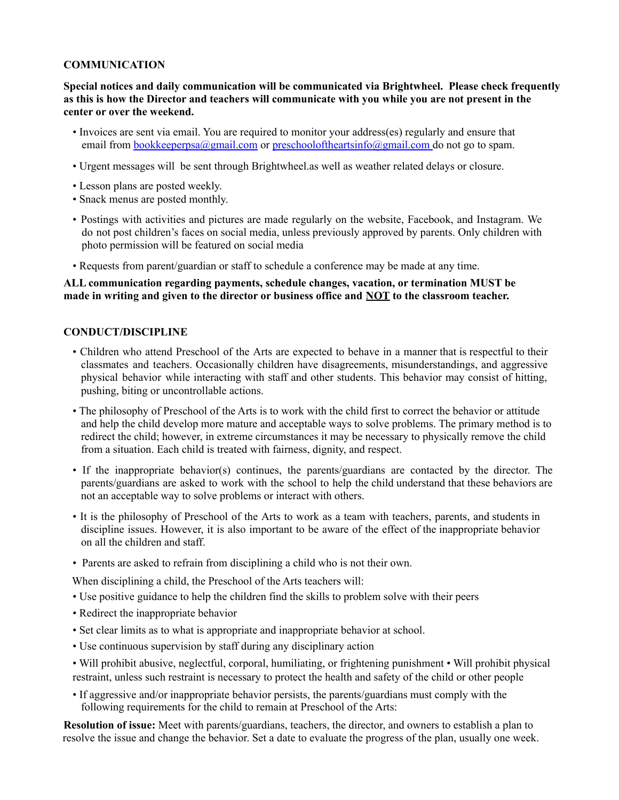#### **COMMUNICATION**

**Special notices and daily communication will be communicated via Brightwheel. Please check frequently** as this is how the Director and teachers will communicate with you while you are not present in the **center or over the weekend.**

- Invoices are sent via email. You are required to monitor your address(es) regularly and ensure that email from <u>bookkeeperpsa@gmail.com</u> or preschooloftheartsinfo@gmail.com do not go to spam.
- Urgent messages will be sent through Brightwheel.as well as weather related delays or closure.
- Lesson plans are posted weekly.
- Snack menus are posted monthly.
- Postings with activities and pictures are made regularly on the website, Facebook, and Instagram. We do not post children's faces on social media, unless previously approved by parents. Only children with photo permission will be featured on social media
- Requests from parent/guardian or staff to schedule a conference may be made at any time.

#### **ALL communication regarding payments, schedule changes, vacation, or termination MUST be made in writing and given to the director or business office and NOT to the classroom teacher.**

#### **CONDUCT/DISCIPLINE**

- Children who attend Preschool of the Arts are expected to behave in a manner that is respectful to their classmates and teachers. Occasionally children have disagreements, misunderstandings, and aggressive physical behavior while interacting with staff and other students. This behavior may consist of hitting, pushing, biting or uncontrollable actions.
- The philosophy of Preschool of the Arts is to work with the child first to correct the behavior or attitude and help the child develop more mature and acceptable ways to solve problems. The primary method is to redirect the child; however, in extreme circumstances it may be necessary to physically remove the child from a situation. Each child is treated with fairness, dignity, and respect.
- If the inappropriate behavior(s) continues, the parents/guardians are contacted by the director. The parents/guardians are asked to work with the school to help the child understand that these behaviors are not an acceptable way to solve problems or interact with others.
- It is the philosophy of Preschool of the Arts to work as a team with teachers, parents, and students in discipline issues. However, it is also important to be aware of the effect of the inappropriate behavior on all the children and staff.
- Parents are asked to refrain from disciplining a child who is not their own.

When disciplining a child, the Preschool of the Arts teachers will:

- Use positive guidance to help the children find the skills to problem solve with their peers
- Redirect the inappropriate behavior
- Set clear limits as to what is appropriate and inappropriate behavior at school.
- Use continuous supervision by staff during any disciplinary action
- Will prohibit abusive, neglectful, corporal, humiliating, or frightening punishment Will prohibit physical restraint, unless such restraint is necessary to protect the health and safety of the child or other people
- If aggressive and/or inappropriate behavior persists, the parents/guardians must comply with the following requirements for the child to remain at Preschool of the Arts:

**Resolution of issue:** Meet with parents/guardians, teachers, the director, and owners to establish a plan to resolve the issue and change the behavior. Set a date to evaluate the progress of the plan, usually one week.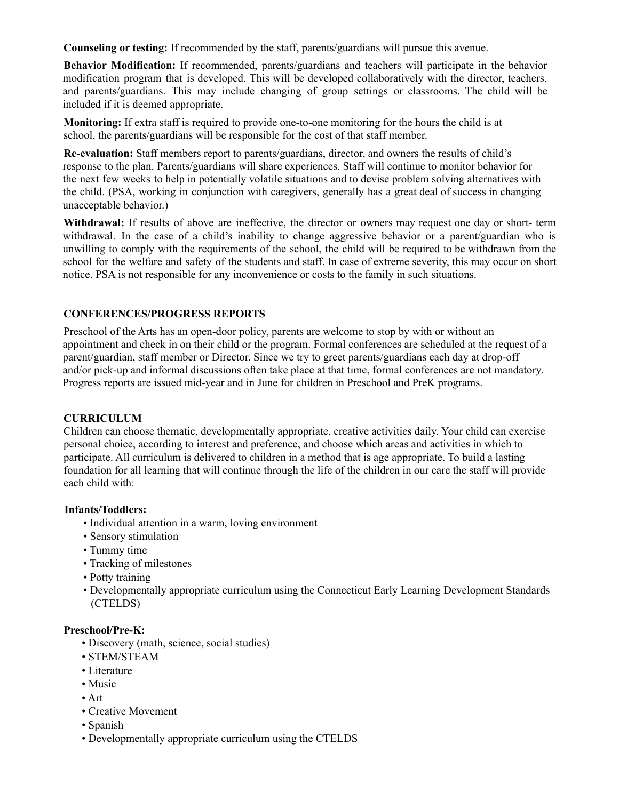**Counseling or testing:** If recommended by the staff, parents/guardians will pursue this avenue.

**Behavior Modification:** If recommended, parents/guardians and teachers will participate in the behavior modification program that is developed. This will be developed collaboratively with the director, teachers, and parents/guardians. This may include changing of group settings or classrooms. The child will be included if it is deemed appropriate.

**Monitoring:** If extra staff is required to provide one-to-one monitoring for the hours the child is at school, the parents/guardians will be responsible for the cost of that staff member.

**Re-evaluation:** Staff members report to parents/guardians, director, and owners the results of child's response to the plan. Parents/guardians will share experiences. Staff will continue to monitor behavior for the next few weeks to help in potentially volatile situations and to devise problem solving alternatives with the child. (PSA, working in conjunction with caregivers, generally has a great deal of success in changing unacceptable behavior.)

**Withdrawal:** If results of above are ineffective, the director or owners may request one day or short- term withdrawal. In the case of a child's inability to change aggressive behavior or a parent/guardian who is unwilling to comply with the requirements of the school, the child will be required to be withdrawn from the school for the welfare and safety of the students and staff. In case of extreme severity, this may occur on short notice. PSA is not responsible for any inconvenience or costs to the family in such situations.

#### **CONFERENCES/PROGRESS REPORTS**

Preschool of the Arts has an open-door policy, parents are welcome to stop by with or without an appointment and check in on their child or the program. Formal conferences are scheduled at the request of a parent/guardian, staff member or Director. Since we try to greet parents/guardians each day at drop-off and/or pick-up and informal discussions often take place at that time, formal conferences are not mandatory. Progress reports are issued mid-year and in June for children in Preschool and PreK programs.

#### **CURRICULUM**

Children can choose thematic, developmentally appropriate, creative activities daily. Your child can exercise personal choice, according to interest and preference, and choose which areas and activities in which to participate. All curriculum is delivered to children in a method that is age appropriate. To build a lasting foundation for all learning that will continue through the life of the children in our care the staff will provide each child with:

#### **Infants/Toddlers:**

- Individual attention in a warm, loving environment
- Sensory stimulation
- Tummy time
- Tracking of milestones
- Potty training
- Developmentally appropriate curriculum using the Connecticut Early Learning Development Standards (CTELDS)

#### **Preschool/Pre-K:**

- Discovery (math, science, social studies)
- STEM/STEAM
- Literature
- Music
- Art
- Creative Movement
- Spanish
- Developmentally appropriate curriculum using the CTELDS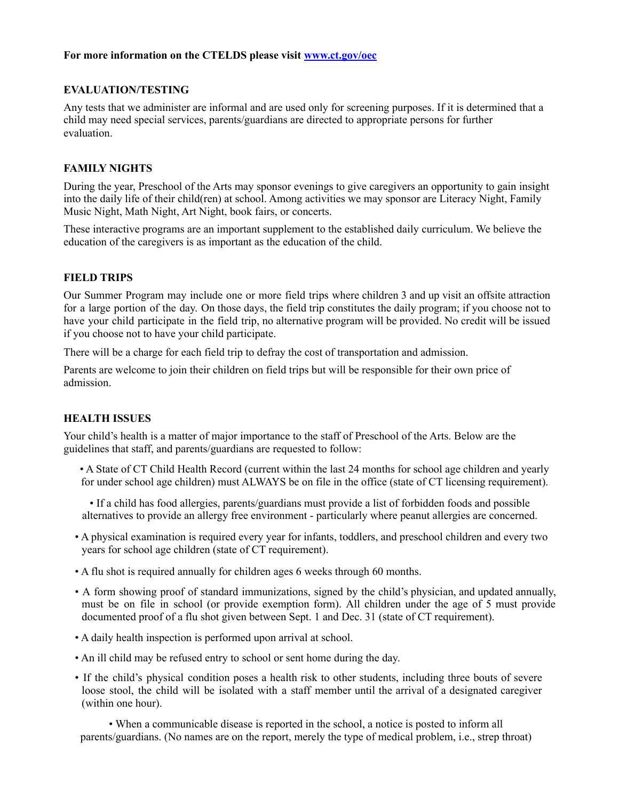#### **For more information on the CTELDS please visit www.ct.gov/oec**

#### **EVALUATION/TESTING**

Any tests that we administer are informal and are used only for screening purposes. If it is determined that a child may need special services, parents/guardians are directed to appropriate persons for further evaluation.

#### **FAMILY NIGHTS**

During the year, Preschool of the Arts may sponsor evenings to give caregivers an opportunity to gain insight into the daily life of their child(ren) at school. Among activities we may sponsor are Literacy Night, Family Music Night, Math Night, Art Night, book fairs, or concerts.

These interactive programs are an important supplement to the established daily curriculum. We believe the education of the caregivers is as important as the education of the child.

#### **FIELD TRIPS**

Our Summer Program may include one or more field trips where children 3 and up visit an offsite attraction for a large portion of the day. On those days, the field trip constitutes the daily program; if you choose not to have your child participate in the field trip, no alternative program will be provided. No credit will be issued if you choose not to have your child participate.

There will be a charge for each field trip to defray the cost of transportation and admission.

Parents are welcome to join their children on field trips but will be responsible for their own price of admission.

#### **HEALTH ISSUES**

Your child's health is a matter of major importance to the staff of Preschool of the Arts. Below are the guidelines that staff, and parents/guardians are requested to follow:

- A State of CT Child Health Record (current within the last 24 months for school age children and yearly for under school age children) must ALWAYS be on file in the office (state of CT licensing requirement).
- If a child has food allergies, parents/guardians must provide a list of forbidden foods and possible alternatives to provide an allergy free environment - particularly where peanut allergies are concerned.
- A physical examination is required every year for infants, toddlers, and preschool children and every two years for school age children (state of CT requirement).
- A flu shot is required annually for children ages 6 weeks through 60 months.
- A form showing proof of standard immunizations, signed by the child's physician, and updated annually, must be on file in school (or provide exemption form). All children under the age of 5 must provide documented proof of a flu shot given between Sept. 1 and Dec. 31 (state of CT requirement).
- A daily health inspection is performed upon arrival at school.
- An ill child may be refused entry to school or sent home during the day.
- If the child's physical condition poses a health risk to other students, including three bouts of severe loose stool, the child will be isolated with a staff member until the arrival of a designated caregiver (within one hour).

• When a communicable disease is reported in the school, a notice is posted to inform all parents/guardians. (No names are on the report, merely the type of medical problem, i.e., strep throat)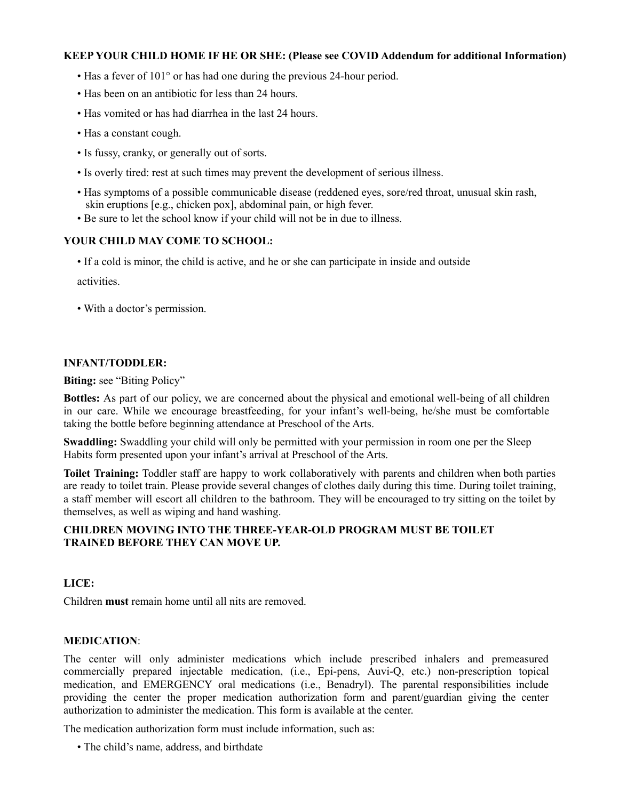#### **KEEP YOUR CHILD HOME IF HE OR SHE: (Please see COVID Addendum for additional Information)**

- Has a fever of 101° or has had one during the previous 24-hour period.
- Has been on an antibiotic for less than 24 hours.
- Has vomited or has had diarrhea in the last 24 hours.
- Has a constant cough.
- Is fussy, cranky, or generally out of sorts.
- Is overly tired: rest at such times may prevent the development of serious illness.
- Has symptoms of a possible communicable disease (reddened eyes, sore/red throat, unusual skin rash, skin eruptions [e.g., chicken pox], abdominal pain, or high fever.
- Be sure to let the school know if your child will not be in due to illness.

#### **YOUR CHILD MAY COME TO SCHOOL:**

• If a cold is minor, the child is active, and he or she can participate in inside and outside

activities.

• With a doctor's permission.

#### **INFANT/TODDLER:**

**Biting:** see "Biting Policy"

**Bottles:** As part of our policy, we are concerned about the physical and emotional well-being of all children in our care. While we encourage breastfeeding, for your infant's well-being, he/she must be comfortable taking the bottle before beginning attendance at Preschool of the Arts.

**Swaddling:** Swaddling your child will only be permitted with your permission in room one per the Sleep Habits form presented upon your infant's arrival at Preschool of the Arts.

**Toilet Training:** Toddler staff are happy to work collaboratively with parents and children when both parties are ready to toilet train. Please provide several changes of clothes daily during this time. During toilet training, a staff member will escort all children to the bathroom. They will be encouraged to try sitting on the toilet by themselves, as well as wiping and hand washing.

#### **CHILDREN MOVING INTO THE THREE-YEAR-OLD PROGRAM MUST BE TOILET TRAINED BEFORE THEY CAN MOVE UP.**

#### **LICE:**

Children **must** remain home until all nits are removed.

#### **MEDICATION**:

The center will only administer medications which include prescribed inhalers and premeasured commercially prepared injectable medication, (i.e., Epi-pens, Auvi-Q, etc.) non-prescription topical medication, and EMERGENCY oral medications (i.e., Benadryl). The parental responsibilities include providing the center the proper medication authorization form and parent/guardian giving the center authorization to administer the medication. This form is available at the center.

The medication authorization form must include information, such as:

• The child's name, address, and birthdate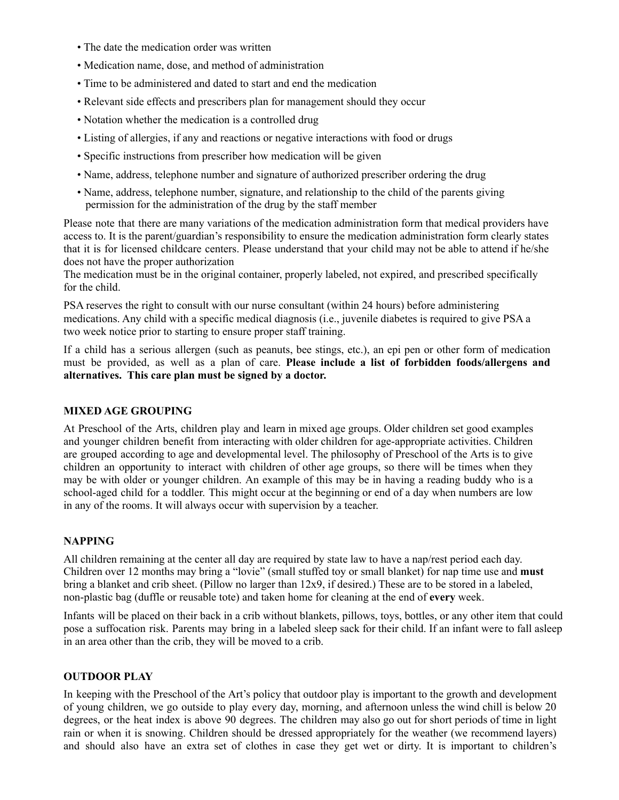- The date the medication order was written
- Medication name, dose, and method of administration
- Time to be administered and dated to start and end the medication
- Relevant side effects and prescribers plan for management should they occur
- Notation whether the medication is a controlled drug
- Listing of allergies, if any and reactions or negative interactions with food or drugs
- Specific instructions from prescriber how medication will be given
- Name, address, telephone number and signature of authorized prescriber ordering the drug
- Name, address, telephone number, signature, and relationship to the child of the parents giving permission for the administration of the drug by the staff member

Please note that there are many variations of the medication administration form that medical providers have access to. It is the parent/guardian's responsibility to ensure the medication administration form clearly states that it is for licensed childcare centers. Please understand that your child may not be able to attend if he/she does not have the proper authorization

The medication must be in the original container, properly labeled, not expired, and prescribed specifically for the child.

PSA reserves the right to consult with our nurse consultant (within 24 hours) before administering medications. Any child with a specific medical diagnosis (i.e., juvenile diabetes is required to give PSA a two week notice prior to starting to ensure proper staff training.

If a child has a serious allergen (such as peanuts, bee stings, etc.), an epi pen or other form of medication must be provided, as well as a plan of care. **Please include a list of forbidden foods/allergens and alternatives. This care plan must be signed by a doctor.**

#### **MIXED AGE GROUPING**

At Preschool of the Arts, children play and learn in mixed age groups. Older children set good examples and younger children benefit from interacting with older children for age-appropriate activities. Children are grouped according to age and developmental level. The philosophy of Preschool of the Arts is to give children an opportunity to interact with children of other age groups, so there will be times when they may be with older or younger children. An example of this may be in having a reading buddy who is a school-aged child for a toddler. This might occur at the beginning or end of a day when numbers are low in any of the rooms. It will always occur with supervision by a teacher.

#### **NAPPING**

All children remaining at the center all day are required by state law to have a nap/rest period each day. Children over 12 months may bring a "lovie" (small stuffed toy or small blanket) for nap time use and **must** bring a blanket and crib sheet. (Pillow no larger than 12x9, if desired.) These are to be stored in a labeled, non-plastic bag (duffle or reusable tote) and taken home for cleaning at the end of **every** week.

Infants will be placed on their back in a crib without blankets, pillows, toys, bottles, or any other item that could pose a suffocation risk. Parents may bring in a labeled sleep sack for their child. If an infant were to fall asleep in an area other than the crib, they will be moved to a crib.

#### **OUTDOOR PLAY**

In keeping with the Preschool of the Art's policy that outdoor play is important to the growth and development of young children, we go outside to play every day, morning, and afternoon unless the wind chill is below 20 degrees, or the heat index is above 90 degrees. The children may also go out for short periods of time in light rain or when it is snowing. Children should be dressed appropriately for the weather (we recommend layers) and should also have an extra set of clothes in case they get wet or dirty. It is important to children's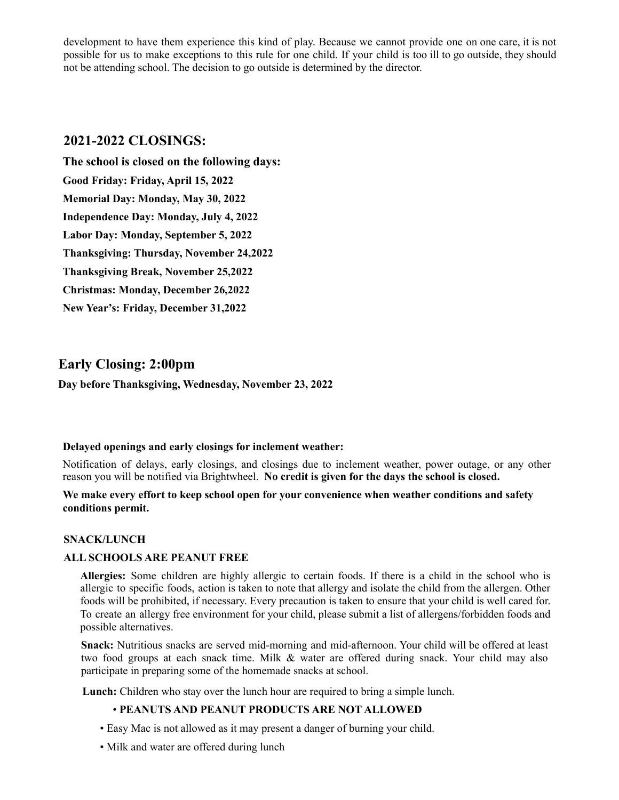development to have them experience this kind of play. Because we cannot provide one on one care, it is not possible for us to make exceptions to this rule for one child. If your child is too ill to go outside, they should not be attending school. The decision to go outside is determined by the director.

### **2021-2022 CLOSINGS:**

**The school is closed on the following days: Good Friday: Friday, April 15, 2022 Memorial Day: Monday, May 30, 2022 Independence Day: Monday, July 4, 2022 Labor Day: Monday, September 5, 2022 Thanksgiving: Thursday, November 24,2022 Thanksgiving Break, November 25,2022 Christmas: Monday, December 26,2022 New Year's: Friday, December 31,2022**

## **Early Closing: 2:00pm**

**Day before Thanksgiving, Wednesday, November 23, 2022**

#### **Delayed openings and early closings for inclement weather:**

Notification of delays, early closings, and closings due to inclement weather, power outage, or any other reason you will be notified via Brightwheel. **No credit is given for the days the school is closed.**

#### **We make every effort to keep school open for your convenience when weather conditions and safety conditions permit.**

#### **SNACK/LUNCH**

#### **ALL SCHOOLS ARE PEANUT FREE**

**Allergies:** Some children are highly allergic to certain foods. If there is a child in the school who is allergic to specific foods, action is taken to note that allergy and isolate the child from the allergen. Other foods will be prohibited, if necessary. Every precaution is taken to ensure that your child is well cared for. To create an allergy free environment for your child, please submit a list of allergens/forbidden foods and possible alternatives.

**Snack:** Nutritious snacks are served mid-morning and mid-afternoon. Your child will be offered at least two food groups at each snack time. Milk & water are offered during snack. Your child may also participate in preparing some of the homemade snacks at school.

**Lunch:** Children who stay over the lunch hour are required to bring a simple lunch.

#### • **PEANUTS AND PEANUT PRODUCTS ARE NOT ALLOWED**

- Easy Mac is not allowed as it may present a danger of burning your child.
- Milk and water are offered during lunch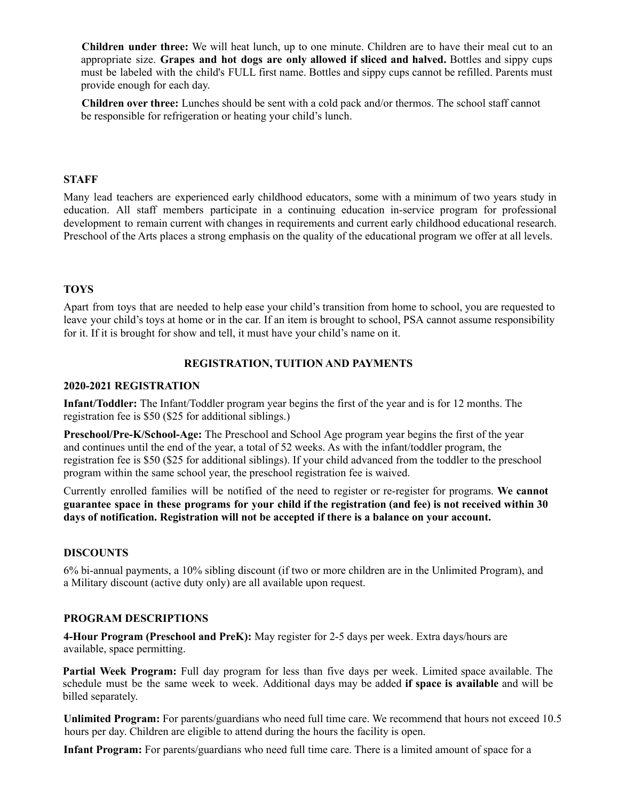**Children under three:** We will heat lunch, up to one minute. Children are to have their meal cut to an appropriate size. **Grapes and hot dogs are only allowed if sliced and halved.** Bottles and sippy cups must be labeled with the child's FULL first name. Bottles and sippy cups cannot be refilled. Parents must provide enough for each day.

**Children over three:** Lunches should be sent with a cold pack and/or thermos. The school staff cannot be responsible for refrigeration or heating your child's lunch.

#### **STAFF**

Many lead teachers are experienced early childhood educators, some with a minimum of two years study in education. All staff members participate in a continuing education in-service program for professional development to remain current with changes in requirements and current early childhood educational research. Preschool of the Arts places a strong emphasis on the quality of the educational program we offer at all levels.

#### **TOYS**

Apart from toys that are needed to help ease your child's transition from home to school, you are requested to leave your child's toys at home or in the car. If an item is brought to school, PSA cannot assume responsibility for it. If it is brought for show and tell, it must have your child's name on it.

#### **REGISTRATION, TUITION AND PAYMENTS**

#### **2020-2021 REGISTRATION**

**Infant/Toddler:** The Infant/Toddler program year begins the first of the year and is for 12 months. The registration fee is \$50 (\$25 for additional siblings.)

**Preschool/Pre-K/School-Age:** The Preschool and School Age program year begins the first of the year and continues until the end of the year, a total of 52 weeks. As with the infant/toddler program, the registration fee is \$50 (\$25 for additional siblings). If your child advanced from the toddler to the preschool program within the same school year, the preschool registration fee is waived.

Currently enrolled families will be notified of the need to register or re-register for programs. **We cannot** guarantee space in these programs for your child if the registration (and fee) is not received within 30 **days of notification. Registration will not be accepted if there is a balance on your account.**

#### **DISCOUNTS**

6% bi-annual payments, a 10% sibling discount (if two or more children are in the Unlimited Program), and a Military discount (active duty only) are all available upon request.

#### **PROGRAM DESCRIPTIONS**

**4-Hour Program (Preschool and PreK):** May register for 2-5 days per week. Extra days/hours are available, space permitting.

**Partial Week Program:** Full day program for less than five days per week. Limited space available. The schedule must be the same week to week. Additional days may be added **if space is available** and will be billed separately.

**Unlimited Program:** For parents/guardians who need full time care. We recommend that hours not exceed 10.5 hours per day. Children are eligible to attend during the hours the facility is open.

**Infant Program:** For parents/guardians who need full time care. There is a limited amount of space for a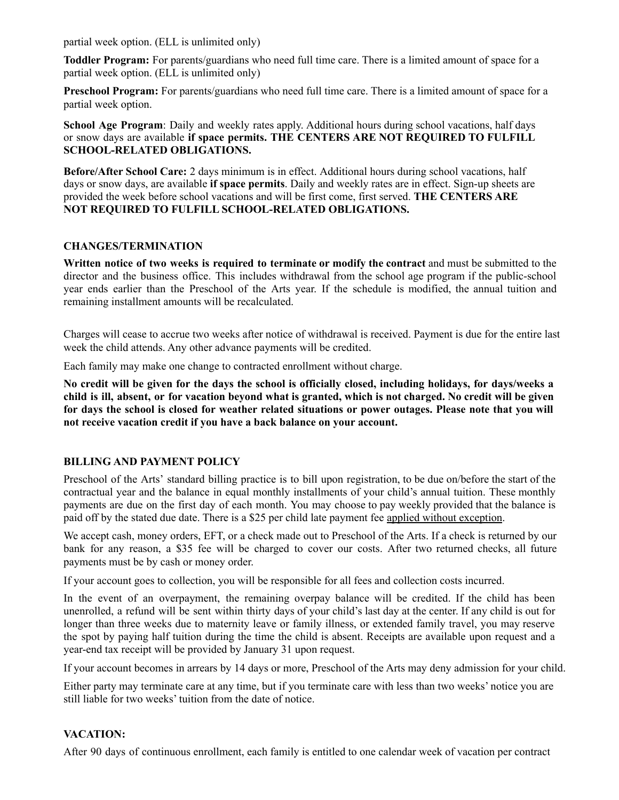partial week option. (ELL is unlimited only)

**Toddler Program:** For parents/guardians who need full time care. There is a limited amount of space for a partial week option. (ELL is unlimited only)

**Preschool Program:** For parents/guardians who need full time care. There is a limited amount of space for a partial week option.

**School Age Program**: Daily and weekly rates apply. Additional hours during school vacations, half days or snow days are available **if space permits. THE CENTERS ARE NOT REQUIRED TO FULFILL SCHOOL-RELATED OBLIGATIONS.**

**Before/After School Care:** 2 days minimum is in effect. Additional hours during school vacations, half days or snow days, are available **if space permits**. Daily and weekly rates are in effect. Sign-up sheets are provided the week before school vacations and will be first come, first served. **THE CENTERS ARE NOT REQUIRED TO FULFILL SCHOOL-RELATED OBLIGATIONS.**

#### **CHANGES/TERMINATION**

**Written notice of two weeks is required to terminate or modify the contract** and must be submitted to the director and the business office. This includes withdrawal from the school age program if the public-school year ends earlier than the Preschool of the Arts year. If the schedule is modified, the annual tuition and remaining installment amounts will be recalculated.

Charges will cease to accrue two weeks after notice of withdrawal is received. Payment is due for the entire last week the child attends. Any other advance payments will be credited.

Each family may make one change to contracted enrollment without charge.

No credit will be given for the days the school is officially closed, including holidays, for days/weeks a child is ill, absent, or for vacation beyond what is granted, which is not charged. No credit will be given for days the school is closed for weather related situations or power outages. Please note that you will **not receive vacation credit if you have a back balance on your account.**

#### **BILLING AND PAYMENT POLICY**

Preschool of the Arts' standard billing practice is to bill upon registration, to be due on/before the start of the contractual year and the balance in equal monthly installments of your child's annual tuition. These monthly payments are due on the first day of each month. You may choose to pay weekly provided that the balance is paid off by the stated due date. There is a \$25 per child late payment fee applied without exception.

We accept cash, money orders, EFT, or a check made out to Preschool of the Arts. If a check is returned by our bank for any reason, a \$35 fee will be charged to cover our costs. After two returned checks, all future payments must be by cash or money order.

If your account goes to collection, you will be responsible for all fees and collection costs incurred.

In the event of an overpayment, the remaining overpay balance will be credited. If the child has been unenrolled, a refund will be sent within thirty days of your child's last day at the center. If any child is out for longer than three weeks due to maternity leave or family illness, or extended family travel, you may reserve the spot by paying half tuition during the time the child is absent. Receipts are available upon request and a year-end tax receipt will be provided by January 31 upon request.

If your account becomes in arrears by 14 days or more, Preschool of the Arts may deny admission for your child.

Either party may terminate care at any time, but if you terminate care with less than two weeks' notice you are still liable for two weeks' tuition from the date of notice.

#### **VACATION:**

After 90 days of continuous enrollment, each family is entitled to one calendar week of vacation per contract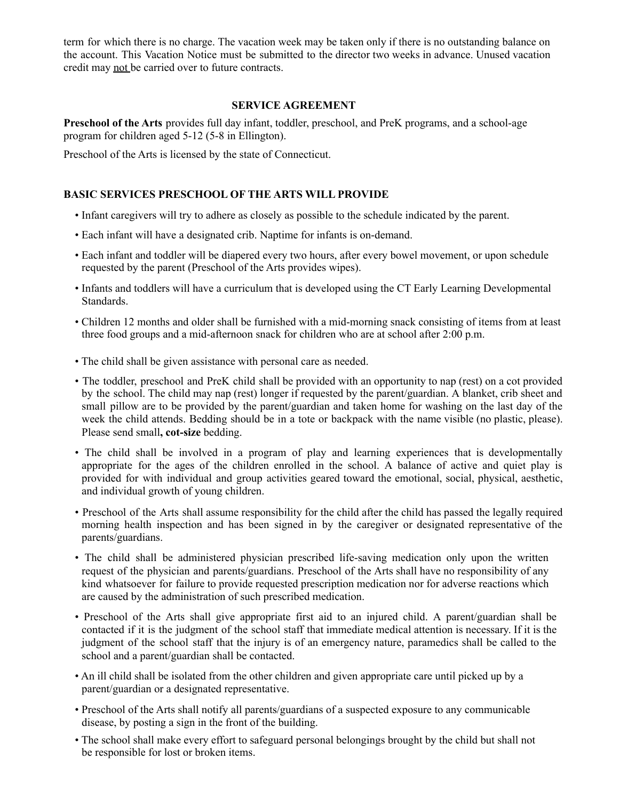term for which there is no charge. The vacation week may be taken only if there is no outstanding balance on the account. This Vacation Notice must be submitted to the director two weeks in advance. Unused vacation credit may not be carried over to future contracts.

#### **SERVICE AGREEMENT**

**Preschool of the Arts** provides full day infant, toddler, preschool, and PreK programs, and a school-age program for children aged 5-12 (5-8 in Ellington).

Preschool of the Arts is licensed by the state of Connecticut.

#### **BASIC SERVICES PRESCHOOL OF THE ARTS WILL PROVIDE**

- Infant caregivers will try to adhere as closely as possible to the schedule indicated by the parent.
- Each infant will have a designated crib. Naptime for infants is on-demand.
- Each infant and toddler will be diapered every two hours, after every bowel movement, or upon schedule requested by the parent (Preschool of the Arts provides wipes).
- Infants and toddlers will have a curriculum that is developed using the CT Early Learning Developmental Standards.
- Children 12 months and older shall be furnished with a mid-morning snack consisting of items from at least three food groups and a mid-afternoon snack for children who are at school after 2:00 p.m.
- The child shall be given assistance with personal care as needed.
- The toddler, preschool and PreK child shall be provided with an opportunity to nap (rest) on a cot provided by the school. The child may nap (rest) longer if requested by the parent/guardian. A blanket, crib sheet and small pillow are to be provided by the parent/guardian and taken home for washing on the last day of the week the child attends. Bedding should be in a tote or backpack with the name visible (no plastic, please). Please send small**, cot-size** bedding.
- The child shall be involved in a program of play and learning experiences that is developmentally appropriate for the ages of the children enrolled in the school. A balance of active and quiet play is provided for with individual and group activities geared toward the emotional, social, physical, aesthetic, and individual growth of young children.
- Preschool of the Arts shall assume responsibility for the child after the child has passed the legally required morning health inspection and has been signed in by the caregiver or designated representative of the parents/guardians.
- The child shall be administered physician prescribed life-saving medication only upon the written request of the physician and parents/guardians. Preschool of the Arts shall have no responsibility of any kind whatsoever for failure to provide requested prescription medication nor for adverse reactions which are caused by the administration of such prescribed medication.
- Preschool of the Arts shall give appropriate first aid to an injured child. A parent/guardian shall be contacted if it is the judgment of the school staff that immediate medical attention is necessary. If it is the judgment of the school staff that the injury is of an emergency nature, paramedics shall be called to the school and a parent/guardian shall be contacted.
- An ill child shall be isolated from the other children and given appropriate care until picked up by a parent/guardian or a designated representative.
- Preschool of the Arts shall notify all parents/guardians of a suspected exposure to any communicable disease, by posting a sign in the front of the building.
- The school shall make every effort to safeguard personal belongings brought by the child but shall not be responsible for lost or broken items.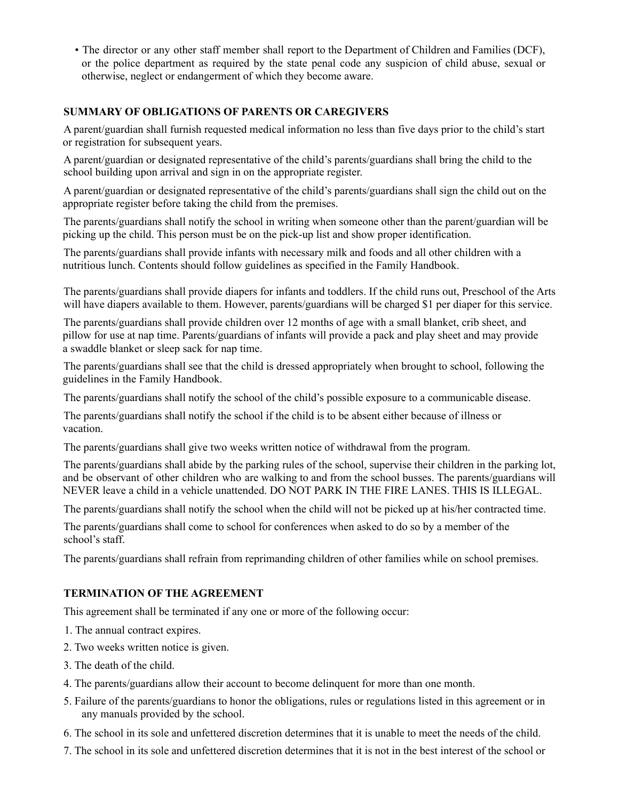• The director or any other staff member shall report to the Department of Children and Families (DCF), or the police department as required by the state penal code any suspicion of child abuse, sexual or otherwise, neglect or endangerment of which they become aware.

#### **SUMMARY OF OBLIGATIONS OF PARENTS OR CAREGIVERS**

A parent/guardian shall furnish requested medical information no less than five days prior to the child's start or registration for subsequent years.

A parent/guardian or designated representative of the child's parents/guardians shall bring the child to the school building upon arrival and sign in on the appropriate register.

A parent/guardian or designated representative of the child's parents/guardians shall sign the child out on the appropriate register before taking the child from the premises.

The parents/guardians shall notify the school in writing when someone other than the parent/guardian will be picking up the child. This person must be on the pick-up list and show proper identification.

The parents/guardians shall provide infants with necessary milk and foods and all other children with a nutritious lunch. Contents should follow guidelines as specified in the Family Handbook.

The parents/guardians shall provide diapers for infants and toddlers. If the child runs out, Preschool of the Arts will have diapers available to them. However, parents/guardians will be charged \$1 per diaper for this service.

The parents/guardians shall provide children over 12 months of age with a small blanket, crib sheet, and pillow for use at nap time. Parents/guardians of infants will provide a pack and play sheet and may provide a swaddle blanket or sleep sack for nap time.

The parents/guardians shall see that the child is dressed appropriately when brought to school, following the guidelines in the Family Handbook.

The parents/guardians shall notify the school of the child's possible exposure to a communicable disease.

The parents/guardians shall notify the school if the child is to be absent either because of illness or vacation.

The parents/guardians shall give two weeks written notice of withdrawal from the program.

The parents/guardians shall abide by the parking rules of the school, supervise their children in the parking lot, and be observant of other children who are walking to and from the school busses. The parents/guardians will NEVER leave a child in a vehicle unattended. DO NOT PARK IN THE FIRE LANES. THIS IS ILLEGAL.

The parents/guardians shall notify the school when the child will not be picked up at his/her contracted time.

The parents/guardians shall come to school for conferences when asked to do so by a member of the school's staff.

The parents/guardians shall refrain from reprimanding children of other families while on school premises.

#### **TERMINATION OF THE AGREEMENT**

This agreement shall be terminated if any one or more of the following occur:

- 1. The annual contract expires.
- 2. Two weeks written notice is given.
- 3. The death of the child.
- 4. The parents/guardians allow their account to become delinquent for more than one month.
- 5. Failure of the parents/guardians to honor the obligations, rules or regulations listed in this agreement or in any manuals provided by the school.
- 6. The school in its sole and unfettered discretion determines that it is unable to meet the needs of the child.
- 7. The school in its sole and unfettered discretion determines that it is not in the best interest of the school or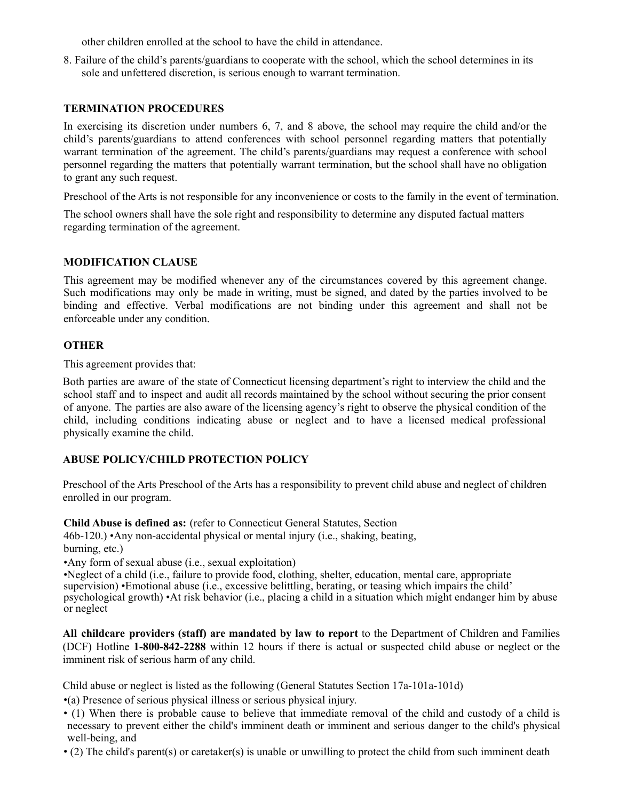other children enrolled at the school to have the child in attendance.

8. Failure of the child's parents/guardians to cooperate with the school, which the school determines in its sole and unfettered discretion, is serious enough to warrant termination.

#### **TERMINATION PROCEDURES**

In exercising its discretion under numbers 6, 7, and 8 above, the school may require the child and/or the child's parents/guardians to attend conferences with school personnel regarding matters that potentially warrant termination of the agreement. The child's parents/guardians may request a conference with school personnel regarding the matters that potentially warrant termination, but the school shall have no obligation to grant any such request.

Preschool of the Arts is not responsible for any inconvenience or costs to the family in the event of termination.

The school owners shall have the sole right and responsibility to determine any disputed factual matters regarding termination of the agreement.

#### **MODIFICATION CLAUSE**

This agreement may be modified whenever any of the circumstances covered by this agreement change. Such modifications may only be made in writing, must be signed, and dated by the parties involved to be binding and effective. Verbal modifications are not binding under this agreement and shall not be enforceable under any condition.

#### **OTHER**

This agreement provides that:

Both parties are aware of the state of Connecticut licensing department's right to interview the child and the school staff and to inspect and audit all records maintained by the school without securing the prior consent of anyone. The parties are also aware of the licensing agency's right to observe the physical condition of the child, including conditions indicating abuse or neglect and to have a licensed medical professional physically examine the child.

#### **ABUSE POLICY/CHILD PROTECTION POLICY**

Preschool of the Arts Preschool of the Arts has a responsibility to prevent child abuse and neglect of children enrolled in our program.

**Child Abuse is defined as:** (refer to Connecticut General Statutes, Section

46b-120.) •Any non-accidental physical or mental injury (i.e., shaking, beating, burning, etc.)

•Any form of sexual abuse (i.e., sexual exploitation)

•Neglect of a child (i.e., failure to provide food, clothing, shelter, education, mental care, appropriate supervision) •Emotional abuse (i.e., excessive belittling, berating, or teasing which impairs the child' psychological growth) •At risk behavior (i.e., placing a child in a situation which might endanger him by abuse or neglect

**All childcare providers (staff) are mandated by law to report** to the Department of Children and Families (DCF) Hotline **1-800-842-2288** within 12 hours if there is actual or suspected child abuse or neglect or the imminent risk of serious harm of any child.

Child abuse or neglect is listed as the following (General Statutes Section 17a-101a-101d)

•(a) Presence of serious physical illness or serious physical injury.

- (1) When there is probable cause to believe that immediate removal of the child and custody of a child is necessary to prevent either the child's imminent death or imminent and serious danger to the child's physical well-being, and
- (2) The child's parent(s) or caretaker(s) is unable or unwilling to protect the child from such imminent death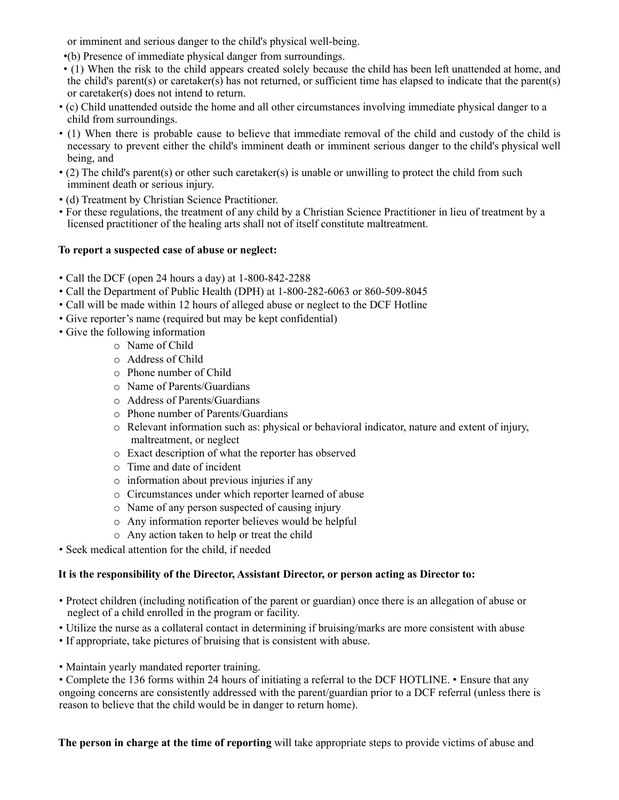or imminent and serious danger to the child's physical well-being.

•(b) Presence of immediate physical danger from surroundings.

• (1) When the risk to the child appears created solely because the child has been left unattended at home, and the child's parent(s) or caretaker(s) has not returned, or sufficient time has elapsed to indicate that the parent(s) or caretaker(s) does not intend to return.

- (c) Child unattended outside the home and all other circumstances involving immediate physical danger to a child from surroundings.
- (1) When there is probable cause to believe that immediate removal of the child and custody of the child is necessary to prevent either the child's imminent death or imminent serious danger to the child's physical well being, and
- (2) The child's parent(s) or other such caretaker(s) is unable or unwilling to protect the child from such imminent death or serious injury.
- (d) Treatment by Christian Science Practitioner.
- For these regulations, the treatment of any child by a Christian Science Practitioner in lieu of treatment by a licensed practitioner of the healing arts shall not of itself constitute maltreatment.

#### **To report a suspected case of abuse or neglect:**

- Call the DCF (open 24 hours a day) at 1-800-842-2288
- Call the Department of Public Health (DPH) at 1-800-282-6063 or 860-509-8045
- Call will be made within 12 hours of alleged abuse or neglect to the DCF Hotline
- Give reporter's name (required but may be kept confidential)
- Give the following information
	- o Name of Child
	- o Address of Child
	- o Phone number of Child
	- o Name of Parents/Guardians
	- o Address of Parents/Guardians
	- o Phone number of Parents/Guardians
	- $\circ$  Relevant information such as: physical or behavioral indicator, nature and extent of injury, maltreatment, or neglect
	- o Exact description of what the reporter has observed
	- o Time and date of incident
	- o information about previous injuries if any
	- o Circumstances under which reporter learned of abuse
	- o Name of any person suspected of causing injury
	- o Any information reporter believes would be helpful
	- o Any action taken to help or treat the child
- Seek medical attention for the child, if needed

#### **It is the responsibility of the Director, Assistant Director, or person acting as Director to:**

- Protect children (including notification of the parent or guardian) once there is an allegation of abuse or neglect of a child enrolled in the program or facility.
- Utilize the nurse as a collateral contact in determining if bruising/marks are more consistent with abuse
- If appropriate, take pictures of bruising that is consistent with abuse.
- Maintain yearly mandated reporter training.

• Complete the 136 forms within 24 hours of initiating a referral to the DCF HOTLINE. • Ensure that any ongoing concerns are consistently addressed with the parent/guardian prior to a DCF referral (unless there is reason to believe that the child would be in danger to return home).

**The person in charge at the time of reporting** will take appropriate steps to provide victims of abuse and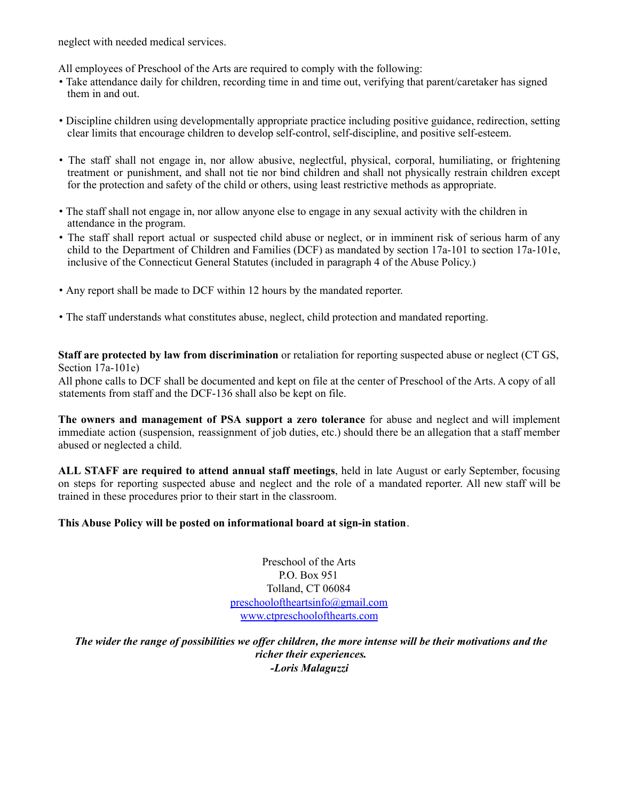neglect with needed medical services.

All employees of Preschool of the Arts are required to comply with the following:

- Take attendance daily for children, recording time in and time out, verifying that parent/caretaker has signed them in and out.
- Discipline children using developmentally appropriate practice including positive guidance, redirection, setting clear limits that encourage children to develop self-control, self-discipline, and positive self-esteem.
- The staff shall not engage in, nor allow abusive, neglectful, physical, corporal, humiliating, or frightening treatment or punishment, and shall not tie nor bind children and shall not physically restrain children except for the protection and safety of the child or others, using least restrictive methods as appropriate.
- The staff shall not engage in, nor allow anyone else to engage in any sexual activity with the children in attendance in the program.
- The staff shall report actual or suspected child abuse or neglect, or in imminent risk of serious harm of any child to the Department of Children and Families (DCF) as mandated by section 17a-101 to section 17a-101e, inclusive of the Connecticut General Statutes (included in paragraph 4 of the Abuse Policy.)
- Any report shall be made to DCF within 12 hours by the mandated reporter.
- The staff understands what constitutes abuse, neglect, child protection and mandated reporting.

**Staff are protected by law from discrimination** or retaliation for reporting suspected abuse or neglect (CT GS, Section 17a-101e)

All phone calls to DCF shall be documented and kept on file at the center of Preschool of the Arts. A copy of all statements from staff and the DCF-136 shall also be kept on file.

**The owners and management of PSA support a zero tolerance** for abuse and neglect and will implement immediate action (suspension, reassignment of job duties, etc.) should there be an allegation that a staff member abused or neglected a child.

**ALL STAFF are required to attend annual staff meetings**, held in late August or early September, focusing on steps for reporting suspected abuse and neglect and the role of a mandated reporter. All new staff will be trained in these procedures prior to their start in the classroom.

#### **This Abuse Policy will be posted on informational board at sign-in station**.

Preschool of the Arts P.O. Box 951 Tolland, CT 06084 preschooloftheartsinfo@gmail.com www.ctpreschoolofthearts.com

The wider the range of possibilities we offer children, the more intense will be their motivations and the *richer their experiences. -Loris Malaguzzi*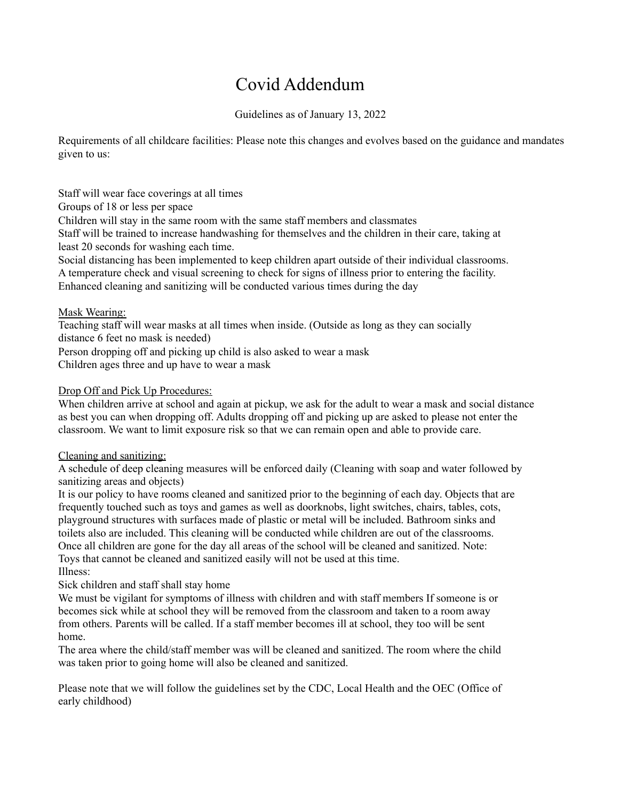# Covid Addendum

Guidelines as of January 13, 2022

Requirements of all childcare facilities: Please note this changes and evolves based on the guidance and mandates given to us:

Staff will wear face coverings at all times Groups of 18 or less per space Children will stay in the same room with the same staff members and classmates Staff will be trained to increase handwashing for themselves and the children in their care, taking at least 20 seconds for washing each time. Social distancing has been implemented to keep children apart outside of their individual classrooms.

A temperature check and visual screening to check for signs of illness prior to entering the facility. Enhanced cleaning and sanitizing will be conducted various times during the day

#### Mask Wearing:

Teaching staff will wear masks at all times when inside. (Outside as long as they can socially distance 6 feet no mask is needed)

Person dropping off and picking up child is also asked to wear a mask

Children ages three and up have to wear a mask

#### Drop Off and Pick Up Procedures:

When children arrive at school and again at pickup, we ask for the adult to wear a mask and social distance as best you can when dropping off. Adults dropping off and picking up are asked to please not enter the classroom. We want to limit exposure risk so that we can remain open and able to provide care.

#### Cleaning and sanitizing:

A schedule of deep cleaning measures will be enforced daily (Cleaning with soap and water followed by sanitizing areas and objects)

It is our policy to have rooms cleaned and sanitized prior to the beginning of each day. Objects that are frequently touched such as toys and games as well as doorknobs, light switches, chairs, tables, cots, playground structures with surfaces made of plastic or metal will be included. Bathroom sinks and toilets also are included. This cleaning will be conducted while children are out of the classrooms. Once all children are gone for the day all areas of the school will be cleaned and sanitized. Note: Toys that cannot be cleaned and sanitized easily will not be used at this time. Illness:

Sick children and staff shall stay home

We must be vigilant for symptoms of illness with children and with staff members If someone is or becomes sick while at school they will be removed from the classroom and taken to a room away from others. Parents will be called. If a staff member becomes ill at school, they too will be sent home.

The area where the child/staff member was will be cleaned and sanitized. The room where the child was taken prior to going home will also be cleaned and sanitized.

Please note that we will follow the guidelines set by the CDC, Local Health and the OEC (Office of early childhood)